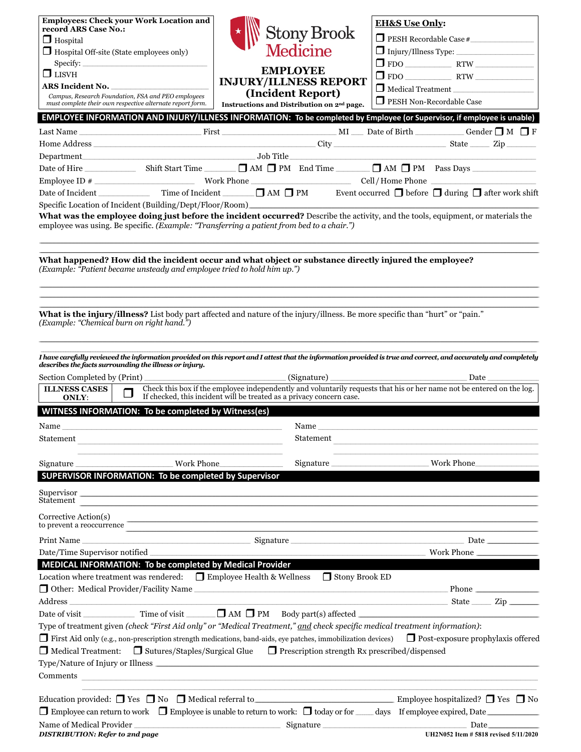| <b>Employees: Check your Work Location and</b>                                                                                                                                                                                       |                                                                                                                                                                                                                                    |                                                                                                                                                                                                                                     |
|--------------------------------------------------------------------------------------------------------------------------------------------------------------------------------------------------------------------------------------|------------------------------------------------------------------------------------------------------------------------------------------------------------------------------------------------------------------------------------|-------------------------------------------------------------------------------------------------------------------------------------------------------------------------------------------------------------------------------------|
| record ARS Case No.:                                                                                                                                                                                                                 |                                                                                                                                                                                                                                    | <b>EH&amp;S Use Only:</b>                                                                                                                                                                                                           |
| $\Box$ Hospital                                                                                                                                                                                                                      | <b>Stony Brook</b>                                                                                                                                                                                                                 | PESH Recordable Case #                                                                                                                                                                                                              |
| $\Box$ Hospital Off-site (State employees only)                                                                                                                                                                                      | <b>Medicine</b>                                                                                                                                                                                                                    |                                                                                                                                                                                                                                     |
| Specify:                                                                                                                                                                                                                             |                                                                                                                                                                                                                                    |                                                                                                                                                                                                                                     |
| $\Box$ LISVH                                                                                                                                                                                                                         | <b>EMPLOYEE</b>                                                                                                                                                                                                                    |                                                                                                                                                                                                                                     |
| <b>ARS Incident No.</b>                                                                                                                                                                                                              | <b>INJURY/ILLNESS REPORT</b>                                                                                                                                                                                                       | Medical Treatment                                                                                                                                                                                                                   |
| Campus, Research Foundation, FSA and PEO employees<br>must complete their own respective alternate report form.                                                                                                                      | (Incident Report)<br>Instructions and Distribution on 2 <sup>nd</sup> page.                                                                                                                                                        | PESH Non-Recordable Case                                                                                                                                                                                                            |
| EMPLOYEE INFORMATION AND INJURY/ILLNESS INFORMATION: To be completed by Employee (or Supervisor, if employee is unable)                                                                                                              |                                                                                                                                                                                                                                    |                                                                                                                                                                                                                                     |
|                                                                                                                                                                                                                                      |                                                                                                                                                                                                                                    |                                                                                                                                                                                                                                     |
|                                                                                                                                                                                                                                      |                                                                                                                                                                                                                                    |                                                                                                                                                                                                                                     |
|                                                                                                                                                                                                                                      |                                                                                                                                                                                                                                    |                                                                                                                                                                                                                                     |
|                                                                                                                                                                                                                                      |                                                                                                                                                                                                                                    |                                                                                                                                                                                                                                     |
|                                                                                                                                                                                                                                      |                                                                                                                                                                                                                                    |                                                                                                                                                                                                                                     |
|                                                                                                                                                                                                                                      |                                                                                                                                                                                                                                    |                                                                                                                                                                                                                                     |
| Date of Incident                                                                                                                                                                                                                     |                                                                                                                                                                                                                                    | Time of Incident ______ ■ AM ■ PM Event occurred ■ before ■ during ■ after work shift                                                                                                                                               |
| Specific Location of Incident (Building/Dept/Floor/Room)<br>What was the employee doing just before the incident occurred? Describe the activity, and the tools, equipment, or materials the                                         |                                                                                                                                                                                                                                    |                                                                                                                                                                                                                                     |
| employee was using. Be specific. (Example: "Transferring a patient from bed to a chair.")                                                                                                                                            |                                                                                                                                                                                                                                    |                                                                                                                                                                                                                                     |
|                                                                                                                                                                                                                                      |                                                                                                                                                                                                                                    |                                                                                                                                                                                                                                     |
|                                                                                                                                                                                                                                      |                                                                                                                                                                                                                                    |                                                                                                                                                                                                                                     |
| What happened? How did the incident occur and what object or substance directly injured the employee?                                                                                                                                |                                                                                                                                                                                                                                    |                                                                                                                                                                                                                                     |
| (Example: "Patient became unsteady and employee tried to hold him up.")                                                                                                                                                              |                                                                                                                                                                                                                                    |                                                                                                                                                                                                                                     |
|                                                                                                                                                                                                                                      |                                                                                                                                                                                                                                    |                                                                                                                                                                                                                                     |
|                                                                                                                                                                                                                                      |                                                                                                                                                                                                                                    |                                                                                                                                                                                                                                     |
| What is the injury/illness? List body part affected and nature of the injury/illness. Be more specific than "hurt" or "pain."                                                                                                        |                                                                                                                                                                                                                                    |                                                                                                                                                                                                                                     |
| (Example: "Chemical burn on right hand.")                                                                                                                                                                                            |                                                                                                                                                                                                                                    |                                                                                                                                                                                                                                     |
|                                                                                                                                                                                                                                      |                                                                                                                                                                                                                                    |                                                                                                                                                                                                                                     |
|                                                                                                                                                                                                                                      |                                                                                                                                                                                                                                    |                                                                                                                                                                                                                                     |
| I have carefully reviewed the information provided on this report and I attest that the information provided is true and correct, and accurately and completely                                                                      |                                                                                                                                                                                                                                    |                                                                                                                                                                                                                                     |
| describes the facts surrounding the illness or injury.                                                                                                                                                                               |                                                                                                                                                                                                                                    |                                                                                                                                                                                                                                     |
| Section Completed by (Print)                                                                                                                                                                                                         |                                                                                                                                                                                                                                    |                                                                                                                                                                                                                                     |
| <b>ILLNESS CASES</b><br>$\Box$<br>ONLY:                                                                                                                                                                                              | If checked, this incident will be treated as a privacy concern case.                                                                                                                                                               | Check this box if the employee independently and voluntarily requests that his or her name not be entered on the log.                                                                                                               |
| WITNESS INFORMATION: To be completed by Witness(es)                                                                                                                                                                                  |                                                                                                                                                                                                                                    |                                                                                                                                                                                                                                     |
|                                                                                                                                                                                                                                      |                                                                                                                                                                                                                                    |                                                                                                                                                                                                                                     |
| Name                                                                                                                                                                                                                                 |                                                                                                                                                                                                                                    | Name                                                                                                                                                                                                                                |
| Statement                                                                                                                                                                                                                            | Statement                                                                                                                                                                                                                          |                                                                                                                                                                                                                                     |
|                                                                                                                                                                                                                                      |                                                                                                                                                                                                                                    |                                                                                                                                                                                                                                     |
| Signature                                                                                                                                                                                                                            | Signature<br>Work Phone                                                                                                                                                                                                            | Work Phone                                                                                                                                                                                                                          |
| SUPERVISOR INFORMATION: To be completed by Supervisor                                                                                                                                                                                |                                                                                                                                                                                                                                    |                                                                                                                                                                                                                                     |
| Supervisor <u>contract the set of the set of the set of the set of the set of the set of the set of the set of the set of the set of the set of the set of the set of the set of the set of the set of the set of the set of the</u> |                                                                                                                                                                                                                                    |                                                                                                                                                                                                                                     |
| Statement                                                                                                                                                                                                                            |                                                                                                                                                                                                                                    |                                                                                                                                                                                                                                     |
| Corrective Action(s)                                                                                                                                                                                                                 |                                                                                                                                                                                                                                    |                                                                                                                                                                                                                                     |
| to prevent a reoccurrence                                                                                                                                                                                                            |                                                                                                                                                                                                                                    |                                                                                                                                                                                                                                     |
|                                                                                                                                                                                                                                      |                                                                                                                                                                                                                                    | <b>Date</b> and the same of the same of the same of the same of the same of the same of the same of the same of the same of the same of the same of the same of the same of the same of the same of the same of the same of the sam |
| Date/Time Supervisor notified                                                                                                                                                                                                        |                                                                                                                                                                                                                                    | Work Phone                                                                                                                                                                                                                          |
| MEDICAL INFORMATION: To be completed by Medical Provider                                                                                                                                                                             |                                                                                                                                                                                                                                    |                                                                                                                                                                                                                                     |
| Location where treatment was rendered: $\Box$ Employee Health & Wellness                                                                                                                                                             | Stony Brook ED                                                                                                                                                                                                                     |                                                                                                                                                                                                                                     |
|                                                                                                                                                                                                                                      |                                                                                                                                                                                                                                    |                                                                                                                                                                                                                                     |
| Address                                                                                                                                                                                                                              |                                                                                                                                                                                                                                    | and the state of the state of the state of the state of the state of the state of the state of the state of the                                                                                                                     |
|                                                                                                                                                                                                                                      |                                                                                                                                                                                                                                    |                                                                                                                                                                                                                                     |
| Type of treatment given (check "First Aid only" or "Medical Treatment," and check specific medical treatment information):                                                                                                           |                                                                                                                                                                                                                                    |                                                                                                                                                                                                                                     |
| ■ First Aid only (e.g., non-prescription strength medications, band-aids, eye patches, immobilization devices) ■ Post-exposure prophylaxis offered                                                                                   |                                                                                                                                                                                                                                    |                                                                                                                                                                                                                                     |
| □ Medical Treatment: □ Sutures/Staples/Surgical Glue □ Prescription strength Rx prescribed/dispensed                                                                                                                                 |                                                                                                                                                                                                                                    |                                                                                                                                                                                                                                     |
|                                                                                                                                                                                                                                      |                                                                                                                                                                                                                                    |                                                                                                                                                                                                                                     |
| Type/Nature of Injury or Illness<br>Comments                                                                                                                                                                                         |                                                                                                                                                                                                                                    |                                                                                                                                                                                                                                     |
|                                                                                                                                                                                                                                      |                                                                                                                                                                                                                                    |                                                                                                                                                                                                                                     |
| Education provided: $\Box$ Yes $\Box$ No $\Box$ Medical referral to Employee hospitalized? $\Box$ Yes $\Box$ No                                                                                                                      |                                                                                                                                                                                                                                    |                                                                                                                                                                                                                                     |
| Employee can return to work Employee is unable to return to work: I today or for days If employee expired, Date                                                                                                                      |                                                                                                                                                                                                                                    |                                                                                                                                                                                                                                     |
|                                                                                                                                                                                                                                      |                                                                                                                                                                                                                                    |                                                                                                                                                                                                                                     |
| Name of Medical Provider<br><b>DISTRIBUTION: Refer to 2nd page</b>                                                                                                                                                                   | <u>Signature and Signature</u> and Signature and Signature and Signature and Signature and Signature and Signature and Signature and Signature and Signature and Signature and Signature and Signature and Signature and Signature | Date<br>UH2N052 Item # 5818 revised 5/11/2020                                                                                                                                                                                       |